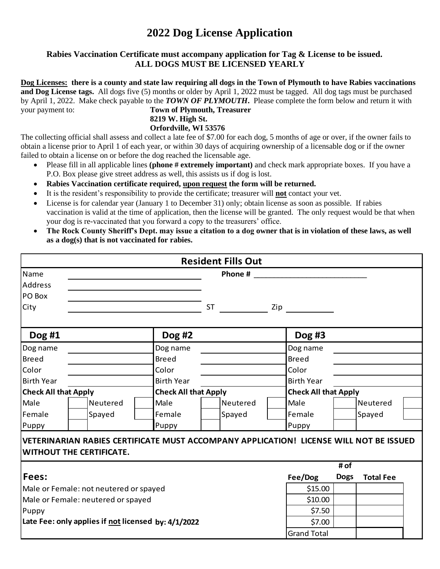# **2022 Dog License Application**

## **Rabies Vaccination Certificate must accompany application for Tag & License to be issued. ALL DOGS MUST BE LICENSED YEARLY**

**Dog Licenses: there is a county and state law requiring all dogs in the Town of Plymouth to have Rabies vaccinations and Dog License tags.** All dogs five (5) months or older by April 1, 2022 must be tagged. All dog tags must be purchased by April 1, 2022. Make check payable to the *TOWN OF PLYMOUTH***.** Please complete the form below and return it with your payment to: **Town of Plymouth, Treasurer**

## **8219 W. High St.**

**Orfordville, WI 53576**

The collecting official shall assess and collect a late fee of \$7.00 for each dog, 5 months of age or over, if the owner fails to obtain a license prior to April 1 of each year, or within 30 days of acquiring ownership of a licensable dog or if the owner failed to obtain a license on or before the dog reached the licensable age.

- Please fill in all applicable lines **(phone # extremely important)** and check mark appropriate boxes. If you have a P.O. Box please give street address as well, this assists us if dog is lost.
- **Rabies Vaccination certificate required, upon request the form will be returned.**
- It is the resident's responsibility to provide the certificate; treasurer will **not** contact your vet.
- License is for calendar year (January 1 to December 31) only; obtain license as soon as possible. If rabies vaccination is valid at the time of application, then the license will be granted. The only request would be that when your dog is re-vaccinated that you forward a copy to the treasurers' office.
- **The Rock County Sheriff's Dept. may issue a citation to a dog owner that is in violation of these laws, as well as a dog(s) that is not vaccinated for rabies.**

|                                                                                                                                                              |                                                                                   |                                                   |           | <b>Resident Fills Out</b> |                                                                                                                                                                                                                                  |                                                                                                                 |                       |                  |  |
|--------------------------------------------------------------------------------------------------------------------------------------------------------------|-----------------------------------------------------------------------------------|---------------------------------------------------|-----------|---------------------------|----------------------------------------------------------------------------------------------------------------------------------------------------------------------------------------------------------------------------------|-----------------------------------------------------------------------------------------------------------------|-----------------------|------------------|--|
| Name<br><b>Address</b><br>PO Box                                                                                                                             |                                                                                   |                                                   |           | Phone #                   |                                                                                                                                                                                                                                  |                                                                                                                 |                       |                  |  |
| City                                                                                                                                                         |                                                                                   |                                                   | <b>ST</b> |                           |                                                                                                                                                                                                                                  | Ziperation of the set of the set of the set of the set of the set of the set of the set of the set of the set o |                       |                  |  |
| Dog #1                                                                                                                                                       |                                                                                   | Dog #2                                            |           |                           |                                                                                                                                                                                                                                  | Dog #3                                                                                                          |                       |                  |  |
| Dog name<br><b>Breed</b><br>Color<br><b>Birth Year</b><br><b>Check All that Apply</b><br>Male<br>Female<br>Puppy<br><b>WITHOUT THE CERTIFICATE.</b>          | Dog name<br><b>Breed</b><br>Color<br><b>Birth Year</b><br>Male<br>Female<br>Puppy | <b>Check All that Apply</b><br>Neutered<br>Spayed |           |                           | Dog name<br><b>Breed</b><br>Color<br><b>Birth Year</b><br><b>Check All that Apply</b><br>Male<br>Neutered<br>Female<br>Spayed<br>Puppy<br>VETERINARIAN RABIES CERTIFICATE MUST ACCOMPANY APPLICATION! LICENSE WILL NOT BE ISSUED |                                                                                                                 |                       |                  |  |
| <b>Fees:</b><br>Male or Female: not neutered or spayed<br>Male or Female: neutered or spayed<br>Puppy<br>Late Fee: only applies if not licensed by: 4/1/2022 |                                                                                   |                                                   |           |                           |                                                                                                                                                                                                                                  | Fee/Dog<br>\$15.00<br>\$10.00<br>\$7.50<br>\$7.00<br><b>Grand Total</b>                                         | $#$ of<br><b>Dogs</b> | <b>Total Fee</b> |  |